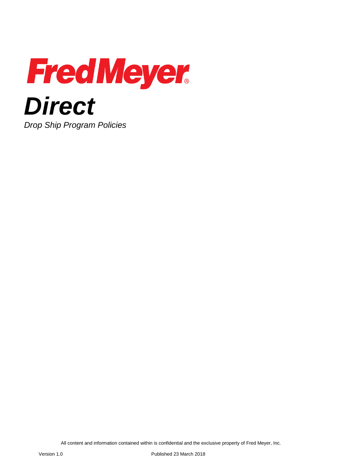

All content and information contained within is confidential and the exclusive property of Fred Meyer, Inc.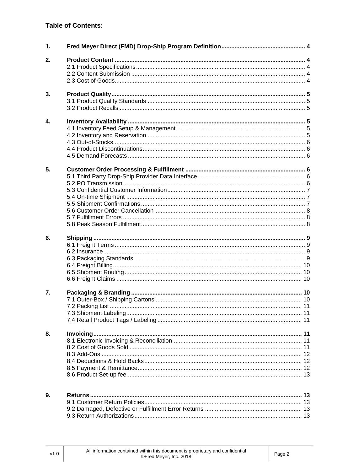# **Table of Contents:**

| 1. |  |
|----|--|
| 2. |  |
|    |  |
|    |  |
|    |  |
|    |  |
| 3. |  |
|    |  |
|    |  |
|    |  |
| 4. |  |
|    |  |
|    |  |
|    |  |
|    |  |
|    |  |
|    |  |
| 5. |  |
|    |  |
|    |  |
|    |  |
|    |  |
|    |  |
|    |  |
|    |  |
|    |  |
|    |  |
| 6. |  |
|    |  |
|    |  |
|    |  |
|    |  |
|    |  |
|    |  |
|    |  |
| 7. |  |
|    |  |
|    |  |
|    |  |
|    |  |
|    |  |
| 8. |  |
|    |  |
|    |  |
|    |  |
|    |  |
|    |  |
|    |  |
|    |  |
|    |  |
| 9. |  |
|    |  |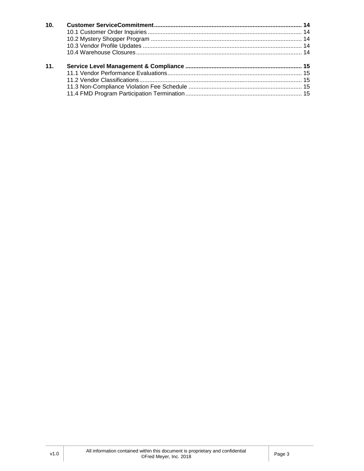| 10. |  |
|-----|--|
|     |  |
|     |  |
|     |  |
|     |  |
| 11. |  |
|     |  |
|     |  |
|     |  |
|     |  |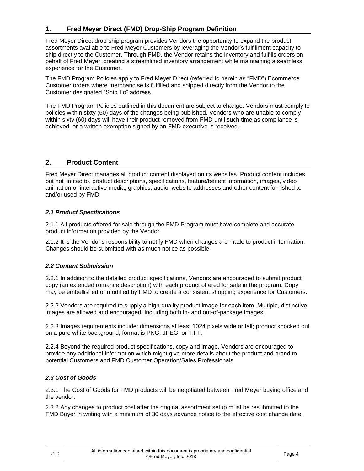# <span id="page-3-0"></span>**1. Fred Meyer Direct (FMD) Drop-Ship Program Definition**

Fred Meyer Direct drop-ship program provides Vendors the opportunity to expand the product assortments available to Fred Meyer Customers by leveraging the Vendor's fulfillment capacity to ship directly to the Customer. Through FMD, the Vendor retains the inventory and fulfills orders on behalf of Fred Meyer, creating a streamlined inventory arrangement while maintaining a seamless experience for the Customer.

The FMD Program Policies apply to Fred Meyer Direct (referred to herein as "FMD") Ecommerce Customer orders where merchandise is fulfilled and shipped directly from the Vendor to the Customer designated "Ship To" address.

<span id="page-3-1"></span>The FMD Program Policies outlined in this document are subject to change. Vendors must comply to policies within sixty (60) days of the changes being published. Vendors who are unable to comply within sixty (60) days will have their product removed from FMD until such time as compliance is achieved, or a written exemption signed by an FMD executive is received.

# **2. Product Content**

Fred Meyer Direct manages all product content displayed on its websites. Product content includes, but not limited to, product descriptions, specifications, feature/benefit information, images, video animation or interactive media, graphics, audio, website addresses and other content furnished to and/or used by FMD.

## <span id="page-3-2"></span>*2.1 Product Specifications*

2.1.1 All products offered for sale through the FMD Program must have complete and accurate product information provided by the Vendor.

2.1.2 It is the Vendor's responsibility to notify FMD when changes are made to product information. Changes should be submitted with as much notice as possible.

## <span id="page-3-3"></span>*2.2 Content Submission*

2.2.1 In addition to the detailed product specifications, Vendors are encouraged to submit product copy (an extended romance description) with each product offered for sale in the program. Copy may be embellished or modified by FMD to create a consistent shopping experience for Customers.

2.2.2 Vendors are required to supply a high-quality product image for each item. Multiple, distinctive images are allowed and encouraged, including both in- and out-of-package images.

2.2.3 Images requirements include: dimensions at least 1024 pixels wide or tall; product knocked out on a pure white background; format is PNG, JPEG, or TIFF.

2.2.4 Beyond the required product specifications, copy and image, Vendors are encouraged to provide any additional information which might give more details about the product and brand to potential Customers and FMD Customer Operation/Sales Professionals

# <span id="page-3-4"></span>*2.3 Cost of Goods*

2.3.1 The Cost of Goods for FMD products will be negotiated between Fred Meyer buying office and the vendor.

2.3.2 Any changes to product cost after the original assortment setup must be resubmitted to the FMD Buyer in writing with a minimum of 30 days advance notice to the effective cost change date.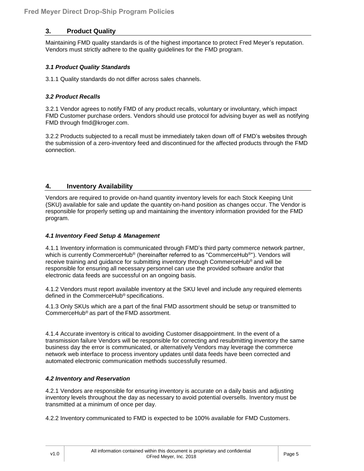# <span id="page-4-0"></span>**3. Product Quality**

Maintaining FMD quality standards is of the highest importance to protect Fred Meyer's reputation. Vendors must strictly adhere to the quality guidelines for the FMD program.

## <span id="page-4-1"></span>*3.1 Product Quality Standards*

<span id="page-4-2"></span>3.1.1 Quality standards do not differ across sales channels.

## *3.2 Product Recalls*

3.2.1 Vendor agrees to notify FMD of any product recalls, voluntary or involuntary, which impact FMD Customer purchase orders. Vendors should use protocol for advising buyer as well as notifying FMD through fmd@kroger.com.

<span id="page-4-3"></span>3.2.2 Products subjected to a recall must be immediately taken down off of FMD's websites through the submission of a zero-inventory feed and discontinued for the affected products through the FMD connection.

## **4. Inventory Availability**

Vendors are required to provide on-hand quantity inventory levels for each Stock Keeping Unit (SKU) available for sale and update the quantity on-hand position as changes occur. The Vendor is responsible for properly setting up and maintaining the inventory information provided for the FMD program.

## <span id="page-4-4"></span>*4.1 Inventory Feed Setup & Management*

4.1.1 Inventory information is communicated through FMD's third party commerce network partner, which is currently CommerceHub® (hereinafter referred to as "CommerceHub®"). Vendors will receive training and guidance for submitting inventory through CommerceHub® and will be responsible for ensuring all necessary personnel can use the provided software and/or that electronic data feeds are successful on an ongoing basis.

4.1.2 Vendors must report available inventory at the SKU level and include any required elements defined in the CommerceHub® specifications.

4.1.3 Only SKUs which are a part of the final FMD assortment should be setup or transmitted to CommerceHub® as part of the FMD assortment.

4.1.4 Accurate inventory is critical to avoiding Customer disappointment. In the event of a transmission failure Vendors will be responsible for correcting and resubmitting inventory the same business day the error is communicated, or alternatively Vendors may leverage the commerce network web interface to process inventory updates until data feeds have been corrected and automated electronic communication methods successfully resumed.

## <span id="page-4-5"></span>*4.2 Inventory and Reservation*

4.2.1 Vendors are responsible for ensuring inventory is accurate on a daily basis and adjusting inventory levels throughout the day as necessary to avoid potential oversells. Inventory must be transmitted at a minimum of once per day.

4.2.2 Inventory communicated to FMD is expected to be 100% available for FMD Customers.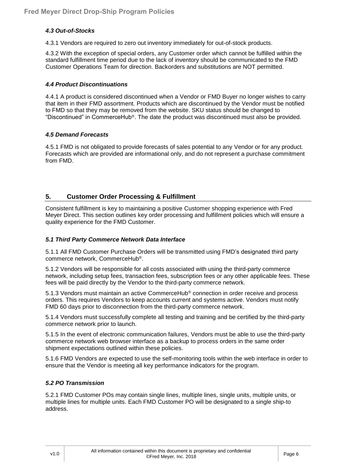## <span id="page-5-0"></span>*4.3 Out-of-Stocks*

4.3.1 Vendors are required to zero out inventory immediately for out-of-stock products.

4.3.2 With the exception of special orders, any Customer order which cannot be fulfilled within the standard fulfillment time period due to the lack of inventory should be communicated to the FMD Customer Operations Team for direction. Backorders and substitutions are NOT permitted.

#### <span id="page-5-1"></span>*4.4 Product Discontinuations*

4.4.1 A product is considered discontinued when a Vendor or FMD Buyer no longer wishes to carry that item in their FMD assortment. Products which are discontinued by the Vendor must be notified to FMD so that they may be removed from the website. SKU status should be changed to "Discontinued" in CommerceHub®. The date the product was discontinued must also be provided.

#### <span id="page-5-2"></span>*4.5 Demand Forecasts*

<span id="page-5-3"></span>4.5.1 FMD is not obligated to provide forecasts of sales potential to any Vendor or for any product. Forecasts which are provided are informational only, and do not represent a purchase commitment from FMD.

# **5. Customer Order Processing & Fulfillment**

Consistent fulfillment is key to maintaining a positive Customer shopping experience with Fred Meyer Direct. This section outlines key order processing and fulfillment policies which will ensure a quality experience for the FMD Customer.

## <span id="page-5-4"></span>*5.1 Third Party Commerce Network Data Interface*

5.1.1 All FMD Customer Purchase Orders will be transmitted using FMD's designated third party commerce network, CommerceHub®.

5.1.2 Vendors will be responsible for all costs associated with using the third-party commerce network, including setup fees, transaction fees, subscription fees or any other applicable fees. These fees will be paid directly by the Vendor to the third-party commerce network.

5.1.3 Vendors must maintain an active CommerceHub® connection in order receive and process orders. This requires Vendors to keep accounts current and systems active. Vendors must notify FMD 60 days prior to disconnection from the third-party commerce network.

5.1.4 Vendors must successfully complete all testing and training and be certified by the third-party commerce network prior to launch.

5.1.5 In the event of electronic communication failures, Vendors must be able to use the third-party commerce network web browser interface as a backup to process orders in the same order shipment expectations outlined within these policies.

5.1.6 FMD Vendors are expected to use the self-monitoring tools within the web interface in order to ensure that the Vendor is meeting all key performance indicators for the program.

## <span id="page-5-5"></span>*5.2 PO Transmission*

5.2.1 FMD Customer POs may contain single lines, multiple lines, single units, multiple units, or multiple lines for multiple units. Each FMD Customer PO will be designated to a single ship-to address.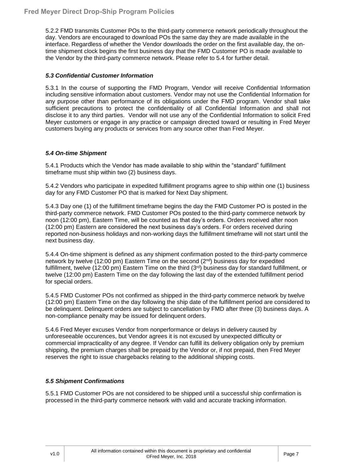5.2.2 FMD transmits Customer POs to the third-party commerce network periodically throughout the day. Vendors are encouraged to download POs the same day they are made available in the interface. Regardless of whether the Vendor downloads the order on the first available day, the ontime shipment clock begins the first business day that the FMD Customer PO is made available to the Vendor by the third-party commerce network. Please refer to 5.4 for further detail.

## <span id="page-6-0"></span>*5.3 Confidential Customer Information*

5.3.1 In the course of supporting the FMD Program, Vendor will receive Confidential Information including sensitive information about customers. Vendor may not use the Confidential Information for any purpose other than performance of its obligations under the FMD program. Vendor shall take sufficient precautions to protect the confidentiality of all Confidential Information and shall not disclose it to any third parties. Vendor will not use any of the Confidential Information to solicit Fred Meyer customers or engage in any practice or campaign directed toward or resulting in Fred Meyer customers buying any products or services from any source other than Fred Meyer*.*

## <span id="page-6-1"></span>*5.4 On-time Shipment*

5.4.1 Products which the Vendor has made available to ship within the "standard" fulfillment timeframe must ship within two (2) business days.

5.4.2 Vendors who participate in expedited fulfillment programs agree to ship within one (1) business day for any FMD Customer PO that is marked for Next Day shipment.

5.4.3 Day one (1) of the fulfillment timeframe begins the day the FMD Customer PO is posted in the third-party commerce network. FMD Customer POs posted to the third-party commerce network by noon (12:00 pm), Eastern Time, will be counted as that day's orders. Orders received after noon (12:00 pm) Eastern are considered the next business day's orders. For orders received during reported non-business holidays and non-working days the fulfillment timeframe will not start until the next business day.

5.4.4 On-time shipment is defined as any shipment confirmation posted to the third-party commerce network by twelve (12:00 pm) Eastern Time on the second (2 nd) business day for expedited fulfillment, twelve (12:00 pm) Eastern Time on the third (3<sup>rd</sup>) business day for standard fulfillment, or twelve (12:00 pm) Eastern Time on the day following the last day of the extended fulfillment period for special orders.

5.4.5 FMD Customer POs not confirmed as shipped in the third-party commerce network by twelve (12:00 pm) Eastern Time on the day following the ship date of the fulfillment period are considered to be delinquent. Delinquent orders are subject to cancellation by FMD after three (3) business days. A non-compliance penalty may be issued for delinquent orders.

5.4.6 Fred Meyer excuses Vendor from nonperformance or delays in delivery caused by unforeseeable occurences, but Vendor agrees it is not excused by unexpected difficulty or commercial impracticality of any degree. If Vendor can fulfill its delivery obligation only by premium shipping, the premium charges shall be prepaid by the Vendor or, if not prepaid, then Fred Meyer reserves the right to issue chargebacks relating to the additional shipping costs.

## <span id="page-6-2"></span>*5.5 Shipment Confirmations*

5.5.1 FMD Customer POs are not considered to be shipped until a successful ship confirmation is processed in the third-party commerce network with valid and accurate tracking information.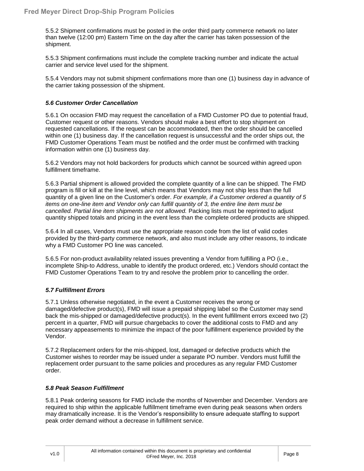5.5.2 Shipment confirmations must be posted in the order third party commerce network no later than twelve (12:00 pm) Eastern Time on the day after the carrier has taken possession of the shipment.

5.5.3 Shipment confirmations must include the complete tracking number and indicate the actual carrier and service level used for the shipment.

5.5.4 Vendors may not submit shipment confirmations more than one (1) business day in advance of the carrier taking possession of the shipment.

## <span id="page-7-0"></span>*5.6 Customer Order Cancellation*

5.6.1 On occasion FMD may request the cancellation of a FMD Customer PO due to potential fraud, Customer request or other reasons. Vendors should make a best effort to stop shipment on requested cancellations. If the request can be accommodated, then the order should be cancelled within one (1) business day. If the cancellation request is unsuccessful and the order ships out, the FMD Customer Operations Team must be notified and the order must be confirmed with tracking information within one (1) business day.

5.6.2 Vendors may not hold backorders for products which cannot be sourced within agreed upon fulfillment timeframe.

5.6.3 Partial shipment is allowed provided the complete quantity of a line can be shipped. The FMD program is fill or kill at the line level, which means that Vendors may not ship less than the full quantity of a given line on the Customer's order. *For example, if a Customer ordered a quantity of 5 items on one-line item and Vendor only can fulfill quantity of 3, the entire line item must be cancelled. Partial line item shipments are not allowed.* Packing lists must be reprinted to adjust quantity shipped totals and pricing in the event less than the complete ordered products are shipped.

5.6.4 In all cases, Vendors must use the appropriate reason code from the list of valid codes provided by the third-party commerce network, and also must include any other reasons, to indicate why a FMD Customer PO line was canceled.

5.6.5 For non-product availability related issues preventing a Vendor from fulfilling a PO (i.e., incomplete Ship-to Address, unable to identify the product ordered, etc.) Vendors should contact the FMD Customer Operations Team to try and resolve the problem prior to cancelling the order.

## <span id="page-7-1"></span>*5.7 Fulfillment Errors*

5.7.1 Unless otherwise negotiated, in the event a Customer receives the wrong or damaged/defective product(s), FMD will issue a prepaid shipping label so the Customer may send back the mis-shipped or damaged/defective product(s). In the event fulfillment errors exceed two (2) percent in a quarter, FMD will pursue chargebacks to cover the additional costs to FMD and any necessary appeasements to minimize the impact of the poor fulfillment experience provided by the Vendor.

5.7.2 Replacement orders for the mis-shipped, lost, damaged or defective products which the Customer wishes to reorder may be issued under a separate PO number. Vendors must fulfill the replacement order pursuant to the same policies and procedures as any regular FMD Customer order.

## <span id="page-7-2"></span>*5.8 Peak Season Fulfillment*

5.8.1 Peak ordering seasons for FMD include the months of November and December. Vendors are required to ship within the applicable fulfillment timeframe even during peak seasons when orders may dramatically increase. It is the Vendor's responsibility to ensure adequate staffing to support peak order demand without a decrease in fulfillment service.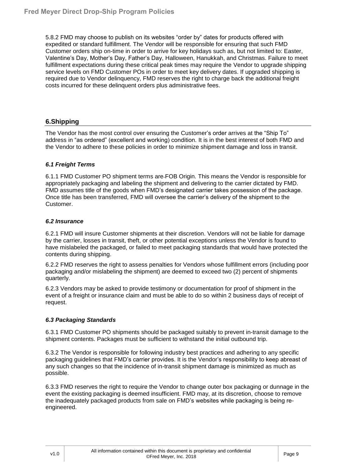5.8.2 FMD may choose to publish on its websites "order by" dates for products offered with expedited or standard fulfillment. The Vendor will be responsible for ensuring that such FMD Customer orders ship on-time in order to arrive for key holidays such as, but not limited to: Easter, Valentine's Day, Mother's Day, Father's Day, Halloween, Hanukkah, and Christmas. Failure to meet fulfillment expectations during these critical peak times may require the Vendor to upgrade shipping service levels on FMD Customer POs in order to meet key delivery dates. If upgraded shipping is required due to Vendor delinquency, FMD reserves the right to charge back the additional freight costs incurred for these delinquent orders plus administrative fees.

# <span id="page-8-0"></span>**6.Shipping**

The Vendor has the most control over ensuring the Customer's order arrives at the "Ship To" address in "as ordered" (excellent and working) condition. It is in the best interest of both FMD and the Vendor to adhere to these policies in order to minimize shipment damage and loss in transit.

## <span id="page-8-1"></span>*6.1 Freight Terms*

6.1.1 FMD Customer PO shipment terms are FOB Origin. This means the Vendor is responsible for appropriately packaging and labeling the shipment and delivering to the carrier dictated by FMD. FMD assumes title of the goods when FMD's designated carrier takes possession of the package. Once title has been transferred, FMD will oversee the carrier's delivery of the shipment to the Customer.

## <span id="page-8-2"></span>*6.2 Insurance*

6.2.1 FMD will insure Customer shipments at their discretion. Vendors will not be liable for damage by the carrier, losses in transit, theft, or other potential exceptions unless the Vendor is found to have mislabeled the packaged, or failed to meet packaging standards that would have protected the contents during shipping.

6.2.2 FMD reserves the right to assess penalties for Vendors whose fulfillment errors (including poor packaging and/or mislabeling the shipment) are deemed to exceed two (2) percent of shipments quarterly.

6.2.3 Vendors may be asked to provide testimony or documentation for proof of shipment in the event of a freight or insurance claim and must be able to do so within 2 business days of receipt of request.

## <span id="page-8-3"></span>*6.3 Packaging Standards*

6.3.1 FMD Customer PO shipments should be packaged suitably to prevent in-transit damage to the shipment contents. Packages must be sufficient to withstand the initial outbound trip.

6.3.2 The Vendor is responsible for following industry best practices and adhering to any specific packaging guidelines that FMD's carrier provides. It is the Vendor's responsibility to keep abreast of any such changes so that the incidence of in-transit shipment damage is minimized as much as possible.

6.3.3 FMD reserves the right to require the Vendor to change outer box packaging or dunnage in the event the existing packaging is deemed insufficient. FMD may, at its discretion, choose to remove the inadequately packaged products from sale on FMD's websites while packaging is being reengineered.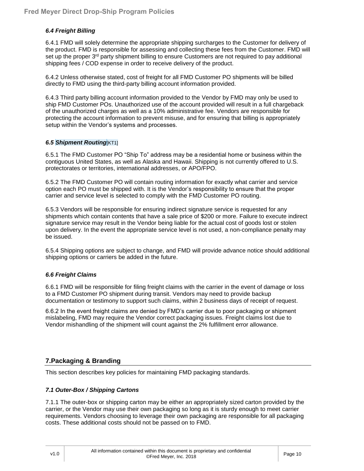## <span id="page-9-0"></span>*6.4 Freight Billing*

6.4.1 FMD will solely determine the appropriate shipping surcharges to the Customer for delivery of the product. FMD is responsible for assessing and collecting these fees from the Customer. FMD will set up the proper 3<sup>rd</sup> party shipment billing to ensure Customers are not required to pay additional shipping fees / COD expense in order to receive delivery of the product.

6.4.2 Unless otherwise stated, cost of freight for all FMD Customer PO shipments will be billed directly to FMD using the third-party billing account information provided.

6.4.3 Third party billing account information provided to the Vendor by FMD may only be used to ship FMD Customer POs. Unauthorized use of the account provided will result in a full chargeback of the unauthorized charges as well as a 10% administrative fee. Vendors are responsible for protecting the account information to prevent misuse, and for ensuring that billing is appropriately setup within the Vendor's systems and processes.

#### <span id="page-9-1"></span>*6.5 Shipment Routing*[KT1]

6.5.1 The FMD Customer PO "Ship To" address may be a residential home or business within the contiguous United States, as well as Alaska and Hawaii. Shipping is not currently offered to U.S. protectorates or territories, international addresses, or APO/FPO.

6.5.2 The FMD Customer PO will contain routing information for exactly what carrier and service option each PO must be shipped with. It is the Vendor's responsibility to ensure that the proper carrier and service level is selected to comply with the FMD Customer PO routing.

6.5.3 Vendors will be responsible for ensuring indirect signature service is requested for any shipments which contain contents that have a sale price of \$200 or more. Failure to execute indirect signature service may result in the Vendor being liable for the actual cost of goods lost or stolen upon delivery. In the event the appropriate service level is not used, a non-compliance penalty may be issued.

6.5.4 Shipping options are subject to change, and FMD will provide advance notice should additional shipping options or carriers be added in the future.

## <span id="page-9-2"></span>*6.6 Freight Claims*

6.6.1 FMD will be responsible for filing freight claims with the carrier in the event of damage or loss to a FMD Customer PO shipment during transit. Vendors may need to provide backup documentation or testimony to support such claims, within 2 business days of receipt of request.

<span id="page-9-3"></span>6.6.2 In the event freight claims are denied by FMD's carrier due to poor packaging or shipment mislabeling, FMD may require the Vendor correct packaging issues. Freight claims lost due to Vendor mishandling of the shipment will count against the 2% fulfillment error allowance.

# **7.Packaging & Branding**

This section describes key policies for maintaining FMD packaging standards.

## <span id="page-9-4"></span>*7.1 Outer-Box / Shipping Cartons*

7.1.1 The outer-box or shipping carton may be either an appropriately sized carton provided by the carrier, or the Vendor may use their own packaging so long as it is sturdy enough to meet carrier requirements. Vendors choosing to leverage their own packaging are responsible for all packaging costs. These additional costs should not be passed on to FMD.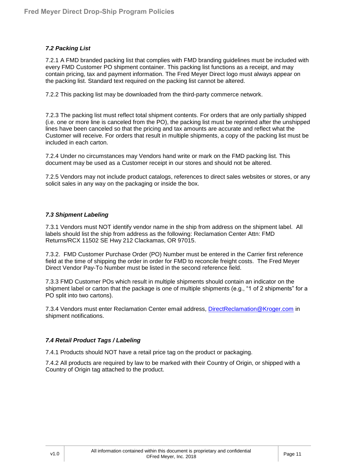## <span id="page-10-0"></span>*7.2 Packing List*

7.2.1 A FMD branded packing list that complies with FMD branding guidelines must be included with every FMD Customer PO shipment container. This packing list functions as a receipt, and may contain pricing, tax and payment information. The Fred Meyer Direct logo must always appear on the packing list. Standard text required on the packing list cannot be altered.

7.2.2 This packing list may be downloaded from the third-party commerce network.

7.2.3 The packing list must reflect total shipment contents. For orders that are only partially shipped (i.e. one or more line is canceled from the PO), the packing list must be reprinted after the unshipped lines have been canceled so that the pricing and tax amounts are accurate and reflect what the Customer will receive. For orders that result in multiple shipments, a copy of the packing list must be included in each carton.

7.2.4 Under no circumstances may Vendors hand write or mark on the FMD packing list. This document may be used as a Customer receipt in our stores and should not be altered.

7.2.5 Vendors may not include product catalogs, references to direct sales websites or stores, or any solicit sales in any way on the packaging or inside the box.

## <span id="page-10-1"></span>*7.3 Shipment Labeling*

7.3.1 Vendors must NOT identify vendor name in the ship from address on the shipment label. All labels should list the ship from address as the following: Reclamation Center Attn: FMD Returns/RCX 11502 SE Hwy 212 Clackamas, OR 97015.

7.3.2. FMD Customer Purchase Order (PO) Number must be entered in the Carrier first reference field at the time of shipping the order in order for FMD to reconcile freight costs. The Fred Meyer Direct Vendor Pay-To Number must be listed in the second reference field.

7.3.3 FMD Customer POs which result in multiple shipments should contain an indicator on the shipment label or carton that the package is one of multiple shipments (e.g., "1 of 2 shipments" for a PO split into two cartons).

7.3.4 Vendors must enter Reclamation Center email address, [DirectReclamation@Kroger.com](mailto:DirectReclamation@Kroger.com) in shipment notifications.

## <span id="page-10-2"></span>*7.4 Retail Product Tags / Labeling*

7.4.1 Products should NOT have a retail price tag on the product or packaging.

<span id="page-10-3"></span>7.4.2 All products are required by law to be marked with their Country of Origin, or shipped with a Country of Origin tag attached to the product.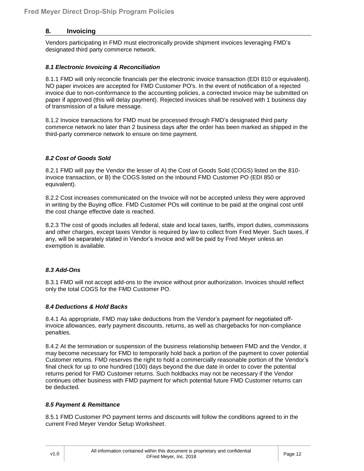# **8. Invoicing**

Vendors participating in FMD must electronically provide shipment invoices leveraging FMD's designated third party commerce network.

## <span id="page-11-0"></span>*8.1 Electronic Invoicing & Reconciliation*

8.1.1 FMD will only reconcile financials per the electronic invoice transaction (EDI 810 or equivalent). NO paper invoices are accepted for FMD Customer PO's. In the event of notification of a rejected invoice due to non-conformance to the accounting policies, a corrected invoice may be submitted on paper if approved (this will delay payment). Rejected invoices shall be resolved with 1 business day of transmission of a failure message.

8.1.2 Invoice transactions for FMD must be processed through FMD's designated third party commerce network no later than 2 business days after the order has been marked as shipped in the third-party commerce network to ensure on time payment.

#### <span id="page-11-1"></span>*8.2 Cost of Goods Sold*

8.2.1 FMD will pay the Vendor the lesser of A) the Cost of Goods Sold (COGS) listed on the 810 invoice transaction, or B) the COGS listed on the inbound FMD Customer PO (EDI 850 or equivalent).

8.2.2 Cost increases communicated on the Invoice will not be accepted unless they were approved in writing by the Buying office. FMD Customer POs will continue to be paid at the original cost until the cost change effective date is reached.

8.2.3 The cost of goods includes all federal, state and local taxes, tariffs, import duties, commissions and other charges, except taxes Vendor is required by law to collect from Fred Meyer. Such taxes, if any, will be separately stated in Vendor's invoice and will be paid by Fred Meyer unless an exemption is available.

## <span id="page-11-2"></span>*8.3 Add-Ons*

8.3.1 FMD will not accept add-ons to the invoice without prior authorization. Invoices should reflect only the total COGS for the FMD Customer PO.

#### <span id="page-11-3"></span>*8.4 Deductions & Hold Backs*

8.4.1 As appropriate, FMD may take deductions from the Vendor's payment for negotiated offinvoice allowances, early payment discounts, returns, as well as chargebacks for non-compliance penalties.

8.4.2 At the termination or suspension of the business relationship between FMD and the Vendor, it may become necessary for FMD to temporarily hold back a portion of the payment to cover potential Customer returns. FMD reserves the right to hold a commercially reasonable portion of the Vendor's final check for up to one hundred (100) days beyond the due date in order to cover the potential returns period for FMD Customer returns. Such holdbacks may not be necessary if the Vendor continues other business with FMD payment for which potential future FMD Customer returns can be deducted.

#### <span id="page-11-4"></span>*8.5 Payment & Remittance*

8.5.1 FMD Customer PO payment terms and discounts will follow the conditions agreed to in the current Fred Meyer Vendor Setup Worksheet.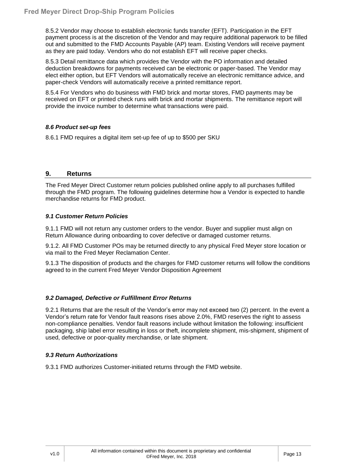8.5.2 Vendor may choose to establish electronic funds transfer (EFT). Participation in the EFT payment process is at the discretion of the Vendor and may require additional paperwork to be filled out and submitted to the FMD Accounts Payable (AP) team. Existing Vendors will receive payment as they are paid today. Vendors who do not establish EFT will receive paper checks.

8.5.3 Detail remittance data which provides the Vendor with the PO information and detailed deduction breakdowns for payments received can be electronic or paper-based. The Vendor may elect either option, but EFT Vendors will automatically receive an electronic remittance advice, and paper-check Vendors will automatically receive a printed remittance report.

8.5.4 For Vendors who do business with FMD brick and mortar stores, FMD payments may be received on EFT or printed check runs with brick and mortar shipments. The remittance report will provide the invoice number to determine what transactions were paid.

## *8.6 Product set-up fees*

<span id="page-12-0"></span>8.6.1 FMD requires a digital item set-up fee of up to \$500 per SKU

# **9. Returns**

The Fred Meyer Direct Customer return policies published online apply to all purchases fulfilled through the FMD program. The following guidelines determine how a Vendor is expected to handle merchandise returns for FMD product.

## <span id="page-12-1"></span>*9.1 Customer Return Policies*

9.1.1 FMD will not return any customer orders to the vendor. Buyer and supplier must align on Return Allowance during onboarding to cover defective or damaged customer returns.

9.1.2. All FMD Customer POs may be returned directly to any physical Fred Meyer store location or via mail to the Fred Meyer Reclamation Center.

9.1.3 The disposition of products and the charges for FMD customer returns will follow the conditions agreed to in the current Fred Meyer Vendor Disposition Agreement

# <span id="page-12-2"></span>*9.2 Damaged, Defective or Fulfillment Error Returns*

9.2.1 Returns that are the result of the Vendor's error may not exceed two (2) percent. In the event a Vendor's return rate for Vendor fault reasons rises above 2.0%, FMD reserves the right to assess non-compliance penalties. Vendor fault reasons include without limitation the following: insufficient packaging, ship label error resulting in loss or theft, incomplete shipment, mis-shipment, shipment of used, defective or poor-quality merchandise, or late shipment.

## <span id="page-12-4"></span><span id="page-12-3"></span>*9.3 Return Authorizations*

9.3.1 FMD authorizes Customer-initiated returns through the FMD website.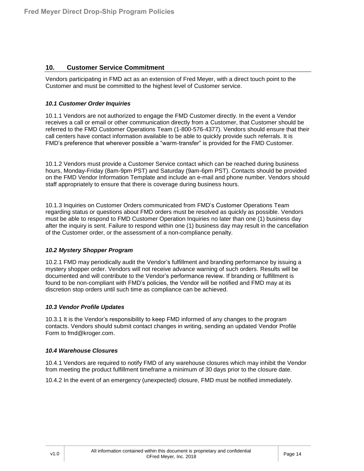## **10. Customer Service Commitment**

Vendors participating in FMD act as an extension of Fred Meyer, with a direct touch point to the Customer and must be committed to the highest level of Customer service.

#### <span id="page-13-0"></span>*10.1 Customer Order Inquiries*

10.1.1 Vendors are not authorized to engage the FMD Customer directly. In the event a Vendor receives a call or email or other communication directly from a Customer, that Customer should be referred to the FMD Customer Operations Team (1-800-576-4377). Vendors should ensure that their call centers have contact information available to be able to quickly provide such referrals. It is FMD's preference that wherever possible a "warm-transfer" is provided for the FMD Customer.

10.1.2 Vendors must provide a Customer Service contact which can be reached during business hours, Monday-Friday (8am-9pm PST) and Saturday (9am-6pm PST). Contacts should be provided on the FMD Vendor Information Template and include an e-mail and phone number. Vendors should staff appropriately to ensure that there is coverage during business hours.

10.1.3 Inquiries on Customer Orders communicated from FMD's Customer Operations Team regarding status or questions about FMD orders must be resolved as quickly as possible. Vendors must be able to respond to FMD Customer Operation Inquiries no later than one (1) business day after the inquiry is sent. Failure to respond within one (1) business day may result in the cancellation of the Customer order, or the assessment of a non-compliance penalty.

#### <span id="page-13-1"></span>*10.2 Mystery Shopper Program*

10.2.1 FMD may periodically audit the Vendor's fulfillment and branding performance by issuing a mystery shopper order. Vendors will not receive advance warning of such orders. Results will be documented and will contribute to the Vendor's performance review. If branding or fulfillment is found to be non-compliant with FMD's policies, the Vendor will be notified and FMD may at its discretion stop orders until such time as compliance can be achieved.

#### <span id="page-13-2"></span>*10.3 Vendor Profile Updates*

10.3.1 It is the Vendor's responsibility to keep FMD informed of any changes to the program contacts. Vendors should submit contact changes in writing, sending an updated Vendor Profile Form to fmd@kroger.com.

#### <span id="page-13-3"></span>*10.4 Warehouse Closures*

10.4.1 Vendors are required to notify FMD of any warehouse closures which may inhibit the Vendor from meeting the product fulfillment timeframe a minimum of 30 days prior to the closure date.

10.4.2 In the event of an emergency (unexpected) closure, FMD must be notified immediately.